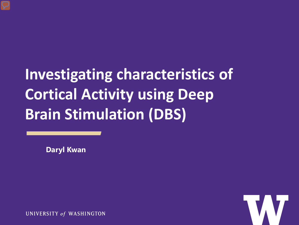# **Investigating characteristics of Cortical Activity using Deep Brain Stimulation (DBS)**

**Daryl Kwan**

UNIVERSITY of WASHINGTON

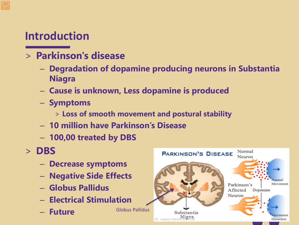### **Introduction**

#### > **Parkinson's disease**

- **Degradation of dopamine producing neurons in Substantia Niagra**
- **Cause is unknown, Less dopamine is produced**
- **Symptoms**
	- > **Loss of smooth movement and postural stability**
- **10 million have Parkinson's Disease**
- **100,00 treated by DBS**
- > **DBS**
	- **Decrease symptoms**
	- **Negative Side Effects**
	- **Globus Pallidus**
	- **Electrical Stimulation**
	- **Future**

Globus Pallidus

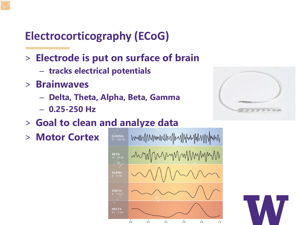# **Electrocorticography (ECoG)**

- > **Electrode is put on surface of brain**
	- **tracks electrical potentials**
- > **Brainwaves** 
	- **Delta, Theta, Alpha, Beta, Gamma**
	- **0.25-250 Hz**



> **Motor Cortex** 





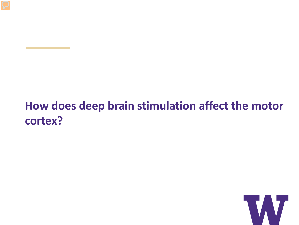## **How does deep brain stimulation affect the motor cortex?**

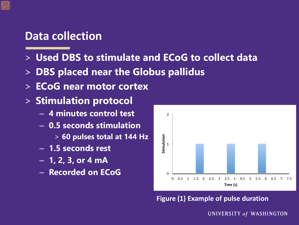#### **Data collection**

- > **Used DBS to stimulate and ECoG to collect data**
- > **DBS placed near the Globus pallidus**
- > **ECoG near motor cortex**
- > **Stimulation protocol**
	- **4 minutes control test**
	- **0.5 seconds stimulation** 
		- > **60 pulses total at 144 Hz**
	- **1.5 seconds rest**
	- **1, 2, 3, or 4 mA**
	- **Recorded on ECoG**



**Figure (1) Example of pulse duration**

UNIVERSITY of WASHINGTON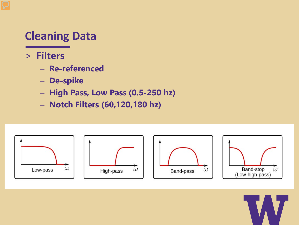## **Cleaning Data**

- > **Filters**
	- **Re-referenced**
	- **De-spike**
	- **High Pass, Low Pass (0.5-250 hz)**
	- **Notch Filters (60,120,180 hz)**



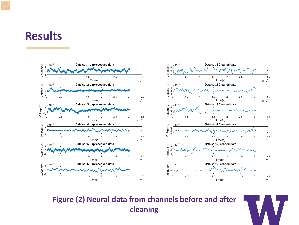#### **Results**



**Figure (2) Neural data from channels before and after cleaning**

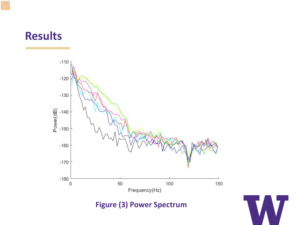## **Results**



**Figure (3) Power Spectrum**

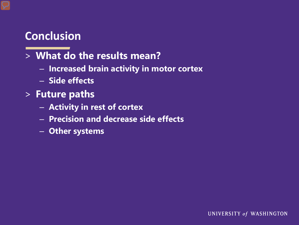### **Conclusion**

#### > **What do the results mean?**

- **Increased brain activity in motor cortex**
- **Side effects**
- > **Future paths**
	- **Activity in rest of cortex**
	- **Precision and decrease side effects**
	- **Other systems**